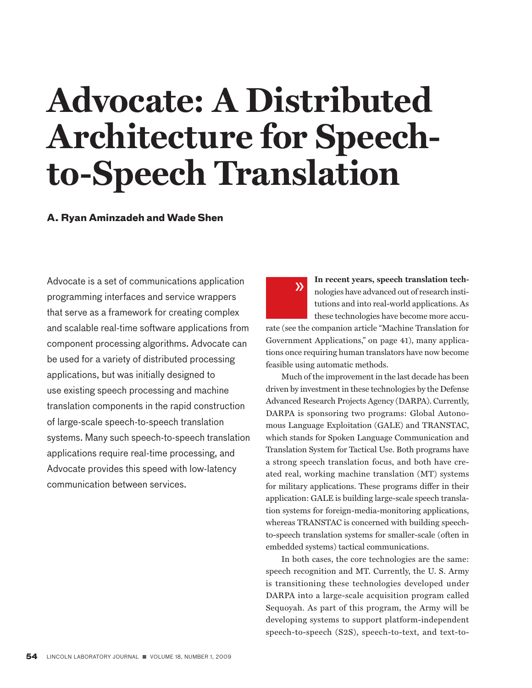# **Advocate: A Distributed Architecture for Speechto-Speech Translation**

# **A. Ryan Aminzadeh and Wade Shen**

Advocate is a set of communications application programming interfaces and service wrappers that serve as a framework for creating complex and scalable real-time software applications from component processing algorithms. Advocate can be used for a variety of distributed processing applications, but was initially designed to use existing speech processing and machine translation components in the rapid construction of large-scale speech-to-speech translation systems. Many such speech-to-speech translation applications require real-time processing, and Advocate provides this speed with low-latency communication between services.



**In recent years, speech translation tech**nologies have advanced out of research institutions and into real-world applications. As these technologies have become more accu-

rate (see the companion article "Machine Translation for Government Applications," on page 41), many applications once requiring human translators have now become feasible using automatic methods.

Much of the improvement in the last decade has been driven by investment in these technologies by the Defense Advanced Research Projects Agency (DARPA). Currently, DARPA is sponsoring two programs: Global Autonomous Language Exploitation (GALE) and TRANSTAC, which stands for Spoken Language Communication and Translation System for Tactical Use. Both programs have a strong speech translation focus, and both have created real, working machine translation (MT) systems for military applications. These programs differ in their application: GALE is building large-scale speech translation systems for foreign-media-monitoring applications, whereas TRANSTAC is concerned with building speechto-speech translation systems for smaller-scale (often in embedded systems) tactical communications.

In both cases, the core technologies are the same: speech recognition and MT. Currently, the U. S. Army is transitioning these technologies developed under DARPA into a large-scale acquisition program called Sequoyah. As part of this program, the Army will be developing systems to support platform-independent speech-to-speech (S2S), speech-to-text, and text-to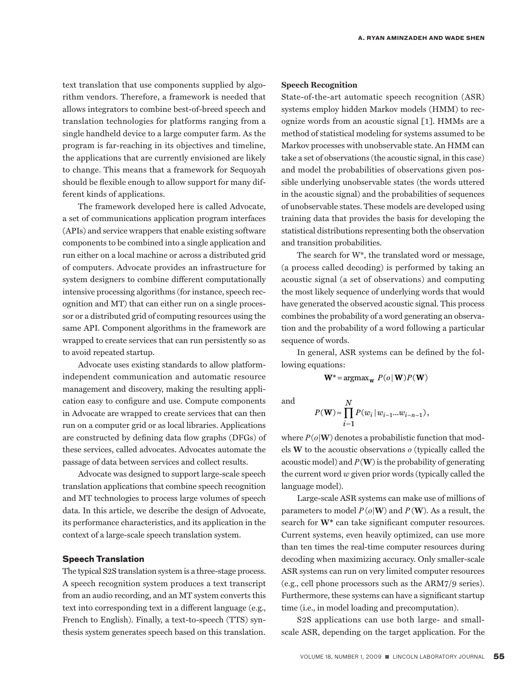text translation that use components supplied by algorithm vendors. Therefore, a framework is needed that allows integrators to combine best-of-breed speech and translation technologies for platforms ranging from a single handheld device to a large computer farm. As the program is far-reaching in its objectives and timeline, the applications that are currently envisioned are likely to change. This means that a framework for Sequoyah should be flexible enough to allow support for many different kinds of applications.

The framework developed here is called Advocate, a set of communications application program interfaces (APIs) and service wrappers that enable existing software components to be combined into a single application and run either on a local machine or across a distributed grid of computers. Advocate provides an infrastructure for system designers to combine different computationally intensive processing algorithms (for instance, speech recognition and MT) that can either run on a single processor or a distributed grid of computing resources using the same API. Component algorithms in the framework are wrapped to create services that can run persistently so as to avoid repeated startup.

Advocate uses existing standards to allow platformindependent communication and automatic resource management and discovery, making the resulting application easy to configure and use. Compute components in Advocate are wrapped to create services that can then run on a computer grid or as local libraries. Applications are constructed by defining data flow graphs (DFGs) of these services, called advocates. Advocates automate the passage of data between services and collect results.

Advocate was designed to support large-scale speech translation applications that combine speech recognition and MT technologies to process large volumes of speech data. In this article, we describe the design of Advocate, its performance characteristics, and its application in the context of a large-scale speech translation system.

## **Speech Translation**

The typical S2S translation system is a three-stage process. A speech recognition system produces a text transcript from an audio recording, and an MT system converts this text into corresponding text in a different language (e.g., French to English). Finally, a text-to-speech (TTS) synthesis system generates speech based on this translation.

# **Speech Recognition**

State-of-the-art automatic speech recognition (ASR) systems employ hidden Markov models (HMM) to recognize words from an acoustic signal [1]. HMMs are a method of statistical modeling for systems assumed to be Markov processes with unobservable state. An HMM can take a set of observations (the acoustic signal, in this case) and model the probabilities of observations given possible underlying unobservable states (the words uttered in the acoustic signal) and the probabilities of sequences of unobservable states. These models are developed using training data that provides the basis for developing the statistical distributions representing both the observation and transition probabilities.

The search for W\*, the translated word or message, (a process called decoding) is performed by taking an acoustic signal (a set of observations) and computing the most likely sequence of underlying words that would have generated the observed acoustic signal. This process combines the probability of a word generating an observation and the probability of a word following a particular sequence of words.

In general, ASR systems can be defined by the following equations:

$$
\mathbf{W}^* = \operatorname{argmax}_{\mathbf{W}} P(o | \mathbf{W}) P(\mathbf{W})
$$

and

$$
P(\mathbf{W}) \approx \prod_{i=1}^{N} P(w_i | w_{i-1}...w_{i-n-1}),
$$

where  $P(o|W)$  denotes a probabilistic function that models **W** to the acoustic observations *o* (typically called the acoustic model) and  $P(W)$  is the probability of generating the current word *w* given prior words (typically called the language model).

Large-scale ASR systems can make use of millions of parameters to model  $P(o|W)$  and  $P(W)$ . As a result, the search for **W\*** can take significant computer resources. Current systems, even heavily optimized, can use more than ten times the real-time computer resources during decoding when maximizing accuracy. Only smaller-scale ASR systems can run on very limited computer resources (e.g., cell phone processors such as the ARM7/9 series). Furthermore, these systems can have a significant startup time (i.e., in model loading and precomputation).

S2S applications can use both large- and smallscale ASR, depending on the target application. For the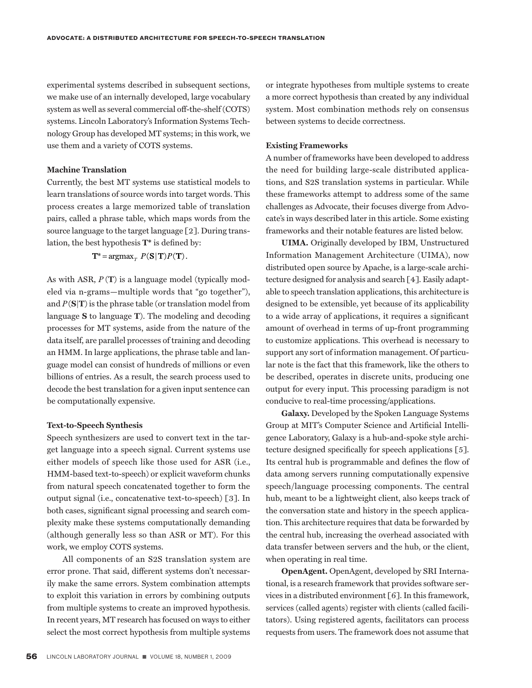experimental systems described in subsequent sections, we make use of an internally developed, large vocabulary system as well as several commercial off-the-shelf (COTS) systems. Lincoln Laboratory's Information Systems Technology Group has developed MT systems; in this work, we use them and a variety of COTS systems.

#### **Machine Translation**

Currently, the best MT systems use statistical models to learn translations of source words into target words. This process creates a large memorized table of translation pairs, called a phrase table, which maps words from the source language to the target language [2]. During translation, the best hypothesis **T\*** is defined by:

# $T^* = \argmax_{T} P(S | T) P(T)$ .

As with ASR, *P* (**T**) is a language model (typically modeled via n-grams—multiple words that "go together"), and *P*(**S**|**T**) is the phrase table (or translation model from language **S** to language **T**). The modeling and decoding processes for MT systems, aside from the nature of the data itself, are parallel processes of training and decoding an HMM. In large applications, the phrase table and language model can consist of hundreds of millions or even billions of entries. As a result, the search process used to decode the best translation for a given input sentence can be computationally expensive.

#### **Text-to-Speech Synthesis**

Speech synthesizers are used to convert text in the target language into a speech signal. Current systems use either models of speech like those used for ASR (i.e., HMM-based text-to-speech) or explicit waveform chunks from natural speech concatenated together to form the output signal (i.e., concatenative text-to-speech) [3]. In both cases, significant signal processing and search complexity make these systems computationally demanding (although generally less so than ASR or MT). For this work, we employ COTS systems.

All components of an S2S translation system are error prone. That said, different systems don't necessarily make the same errors. System combination attempts to exploit this variation in errors by combining outputs from multiple systems to create an improved hypothesis. In recent years, MT research has focused on ways to either select the most correct hypothesis from multiple systems or integrate hypotheses from multiple systems to create a more correct hypothesis than created by any individual system. Most combination methods rely on consensus between systems to decide correctness.

#### **Existing Frameworks**

A number of frameworks have been developed to address the need for building large-scale distributed applications, and S2S translation systems in particular. While these frameworks attempt to address some of the same challenges as Advocate, their focuses diverge from Advocate's in ways described later in this article. Some existing frameworks and their notable features are listed below.

**UIMA.** Originally developed by IBM, Unstructured Information Management Architecture (UIMA), now distributed open source by Apache, is a large-scale architecture designed for analysis and search [4]. Easily adaptable to speech translation applications, this architecture is designed to be extensible, yet because of its applicability to a wide array of applications, it requires a significant amount of overhead in terms of up-front programming to customize applications. This overhead is necessary to support any sort of information management. Of particular note is the fact that this framework, like the others to be described, operates in discrete units, producing one output for every input. This processing paradigm is not conducive to real-time processing/applications.

**Galaxy.** Developed by the Spoken Language Systems Group at MIT's Computer Science and Artificial Intelligence Laboratory, Galaxy is a hub-and-spoke style architecture designed specifically for speech applications [5]. Its central hub is programmable and defines the flow of data among servers running computationally expensive speech/language processing components. The central hub, meant to be a lightweight client, also keeps track of the conversation state and history in the speech application. This architecture requires that data be forwarded by the central hub, increasing the overhead associated with data transfer between servers and the hub, or the client, when operating in real time.

**OpenAgent.** OpenAgent, developed by SRI International, is a research framework that provides software services in a distributed environment [6]. In this framework, services (called agents) register with clients (called facilitators). Using registered agents, facilitators can process requests from users. The framework does not assume that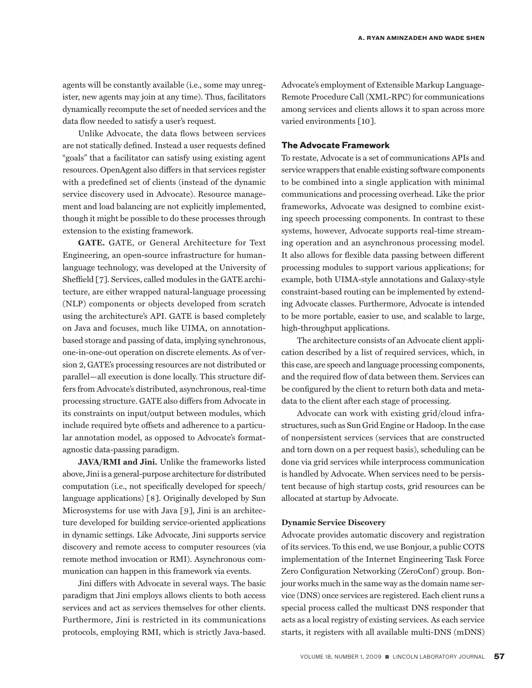agents will be constantly available (i.e., some may unregister, new agents may join at any time). Thus, facilitators dynamically recompute the set of needed services and the data flow needed to satisfy a user's request.

Unlike Advocate, the data flows between services are not statically defined. Instead a user requests defined "goals" that a facilitator can satisfy using existing agent resources. OpenAgent also differs in that services register with a predefined set of clients (instead of the dynamic service discovery used in Advocate). Resource management and load balancing are not explicitly implemented, though it might be possible to do these processes through extension to the existing framework.

**GATE.** GATE, or General Architecture for Text Engineering, an open-source infrastructure for humanlanguage technology, was developed at the University of Sheffield [7]. Services, called modules in the GATE architecture, are either wrapped natural-language processing (NLP) components or objects developed from scratch using the architecture's API. GATE is based completely on Java and focuses, much like UIMA, on annotationbased storage and passing of data, implying synchronous, one-in-one-out operation on discrete elements. As of version 2, GATE's processing resources are not distributed or parallel—all execution is done locally. This structure differs from Advocate's distributed, asynchronous, real-time processing structure. GATE also differs from Advocate in its constraints on input/output between modules, which include required byte offsets and adherence to a particular annotation model, as opposed to Advocate's formatagnostic data-passing paradigm.

**JAVA/RMI and Jini.** Unlike the frameworks listed above, Jini is a general-purpose architecture for distributed computation (i.e., not specifically developed for speech/ language applications) [8]. Originally developed by Sun Microsystems for use with Java [9], Jini is an architecture developed for building service-oriented applications in dynamic settings. Like Advocate, Jini supports service discovery and remote access to computer resources (via remote method invocation or RMI). Asynchronous communication can happen in this framework via events.

Jini differs with Advocate in several ways. The basic paradigm that Jini employs allows clients to both access services and act as services themselves for other clients. Furthermore, Jini is restricted in its communications protocols, employing RMI, which is strictly Java-based.

Advocate's employment of Extensible Markup Language-Remote Procedure Call (XML-RPC) for communications among services and clients allows it to span across more varied environments [10].

# **The Advocate Framework**

To restate, Advocate is a set of communications APIs and service wrappers that enable existing software components to be combined into a single application with minimal communications and processing overhead. Like the prior frameworks, Advocate was designed to combine existing speech processing components. In contrast to these systems, however, Advocate supports real-time streaming operation and an asynchronous processing model. It also allows for flexible data passing between different processing modules to support various applications; for example, both UIMA-style annotations and Galaxy-style constraint-based routing can be implemented by extending Advocate classes. Furthermore, Advocate is intended to be more portable, easier to use, and scalable to large, high-throughput applications.

The architecture consists of an Advocate client application described by a list of required services, which, in this case, are speech and language processing components, and the required flow of data between them. Services can be configured by the client to return both data and metadata to the client after each stage of processing.

Advocate can work with existing grid/cloud infrastructures, such as Sun Grid Engine or Hadoop. In the case of nonpersistent services (services that are constructed and torn down on a per request basis), scheduling can be done via grid services while interprocess communication is handled by Advocate. When services need to be persistent because of high startup costs, grid resources can be allocated at startup by Advocate.

#### **Dynamic Service Discovery**

Advocate provides automatic discovery and registration of its services. To this end, we use Bonjour, a public COTS implementation of the Internet Engineering Task Force Zero Configuration Networking (ZeroConf) group. Bonjour works much in the same way as the domain name service (DNS) once services are registered. Each client runs a special process called the multicast DNS responder that acts as a local registry of existing services. As each service starts, it registers with all available multi-DNS (mDNS)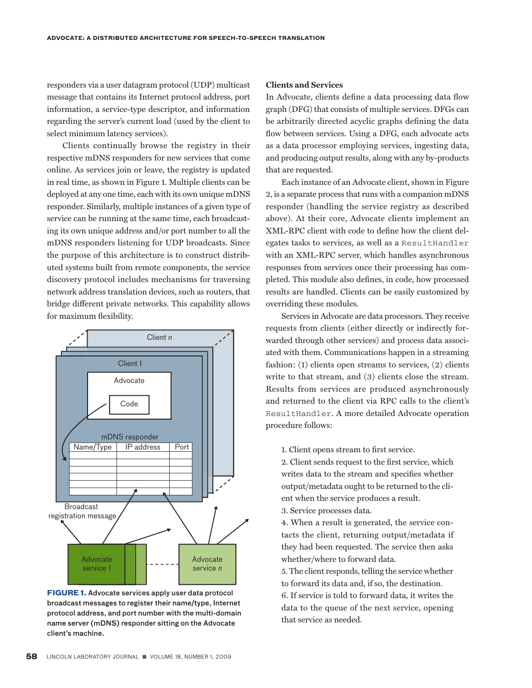responders via a user datagram protocol (UDP) multicast message that contains its Internet protocol address, port information, a service-type descriptor, and information regarding the server's current load (used by the client to select minimum latency services).

Clients continually browse the registry in their respective mDNS responders for new services that come online. As services join or leave, the registry is updated in real time, as shown in Figure 1. Multiple clients can be deployed at any one time, each with its own unique mDNS responder. Similarly, multiple instances of a given type of service can be running at the same time, each broadcasting its own unique address and/or port number to all the mDNS responders listening for UDP broadcasts. Since the purpose of this architecture is to construct distributed systems built from remote components, the service discovery protocol includes mechanisms for traversing network address translation devices, such as routers, that bridge different private networks. This capability allows for maximum flexibility.



**FIGURE 1.** Advocate services apply user data protocol broadcast messages to register their name/type, Internet protocol address, and port number with the multi-domain name server (mDNS) responder sitting on the Advocate client's machine.

# **Clients and Services**

In Advocate, clients define a data processing data flow graph (DFG) that consists of multiple services. DFGs can be arbitrarily directed acyclic graphs defining the data flow between services. Using a DFG, each advocate acts as a data processor employing services, ingesting data, and producing output results, along with any by-products that are requested.

Each instance of an Advocate client, shown in Figure 2, is a separate process that runs with a companion mDNS responder (handling the service registry as described above). At their core, Advocate clients implement an XML-RPC client with code to define how the client delegates tasks to services, as well as a ResultHandler with an XML-RPC server, which handles asynchronous responses from services once their processing has completed. This module also defines, in code, how processed results are handled. Clients can be easily customized by overriding these modules.

Services in Advocate are data processors. They receive requests from clients (either directly or indirectly forwarded through other services) and process data associated with them. Communications happen in a streaming fashion: (1) clients open streams to services, (2) clients write to that stream, and (3) clients close the stream. Results from services are produced asynchronously and returned to the client via RPC calls to the client's ResultHandler. A more detailed Advocate operation procedure follows:

1. Client opens stream to first service.

2. Client sends request to the first service, which writes data to the stream and specifies whether output/metadata ought to be returned to the client when the service produces a result.

3. Service processes data.

4. When a result is generated, the service contacts the client, returning output/metadata if they had been requested. The service then asks whether/where to forward data.

5. The client responds, telling the service whether to forward its data and, if so, the destination.

6. If service is told to forward data, it writes the data to the queue of the next service, opening that service as needed.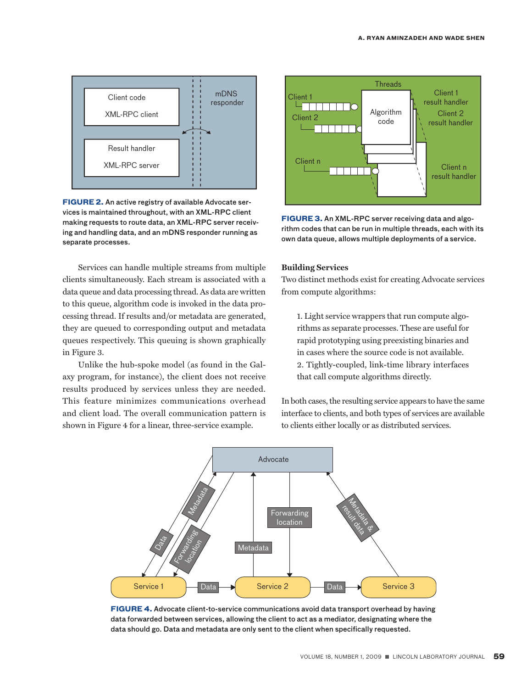

**FIGURE 2.** An active registry of available Advocate services is maintained throughout, with an XML-RPC client making requests to route data, an XML-RPC server receiving and handling data, and an mDNS responder running as separate processes.

Services can handle multiple streams from multiple clients simultaneously. Each stream is associated with a data queue and data processing thread. As data are written to this queue, algorithm code is invoked in the data processing thread. If results and/or metadata are generated, they are queued to corresponding output and metadata queues respectively. This queuing is shown graphically in Figure 3.

Unlike the hub-spoke model (as found in the Galaxy program, for instance), the client does not receive results produced by services unless they are needed. This feature minimizes communications overhead and client load. The overall communication pattern is shown in Figure 4 for a linear, three-service example.



**FIGURE 3.** An XML-RPC server receiving data and algorithm codes that can be run in multiple threads, each with its own data queue, allows multiple deployments of a service.

#### **Building Services**

Two distinct methods exist for creating Advocate services from compute algorithms:

1. Light service wrappers that run compute algorithms as separate processes. These are useful for rapid prototyping using preexisting binaries and in cases where the source code is not available. 2. Tightly-coupled, link-time library interfaces that call compute algorithms directly.

In both cases, the resulting service appears to have the same interface to clients, and both types of services are available to clients either locally or as distributed services.



**FIGURE 4.** Advocate client-to-service communications avoid data transport overhead by having data forwarded between services, allowing the client to act as a mediator, designating where the data should go. Data and metadata are only sent to the client when specifically requested.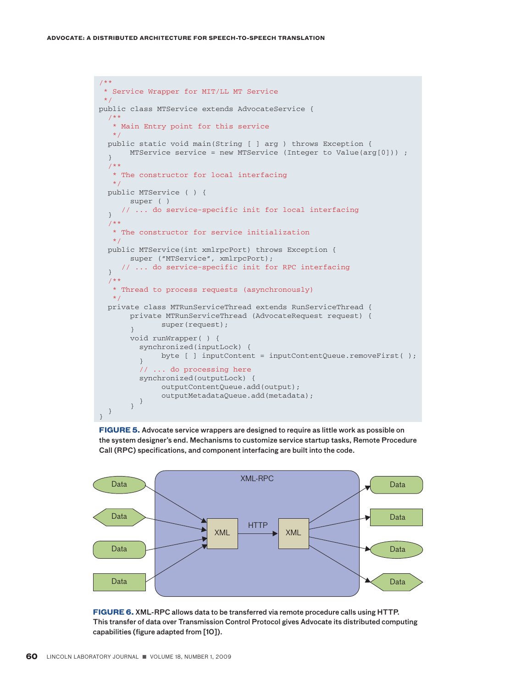```
/**
  * Service Wrapper for MIT/LL MT Service
  */
public class MTService extends AdvocateService {
   /**
    * Main Entry point for this service
    */
   public static void main(String [ ] arg ) throws Exception {
  MTService service = new MTService (Integer to Value(arg[0])) ;
   /**
    * The constructor for local interfacing
    */
   public MTService ( ) {
      super ( )
      // ... do service-specific init for local interfacing
   }
   /**
    * The constructor for service initialization
    */
   public MTService(int xmlrpcPort) throws Exception {
       super ("MTService", xmlrpcPort);
      // ... do service-specific init for RPC interfacing
   }
   /**
    * Thread to process requests (asynchronously)
    */
   private class MTRunServiceThread extends RunServiceThread {
       private MTRunServiceThread (AdvocateRequest request) {
       super(request);
       void runWrapper( ) {
          synchronized(inputLock) {
         byte [ ] inputContent = inputContentQueue.removeFirst( );
          // ... do processing here
          synchronized(outputLock) {
               outputContentQueue.add(output);
outputMetadataQueue.add(metadata);<br>} }
```
**FIGURE 5.** Advocate service wrappers are designed to require as little work as possible on the system designer's end. Mechanisms to customize service startup tasks, Remote Procedure Call (RPC) specifications, and component interfacing are built into the code.



**FIGURE 6.** XML-RPC allows data to be transferred via remote procedure calls using HTTP. This transfer of data over Transmission Control Protocol gives Advocate its distributed computing capabilities (figure adapted from [10]).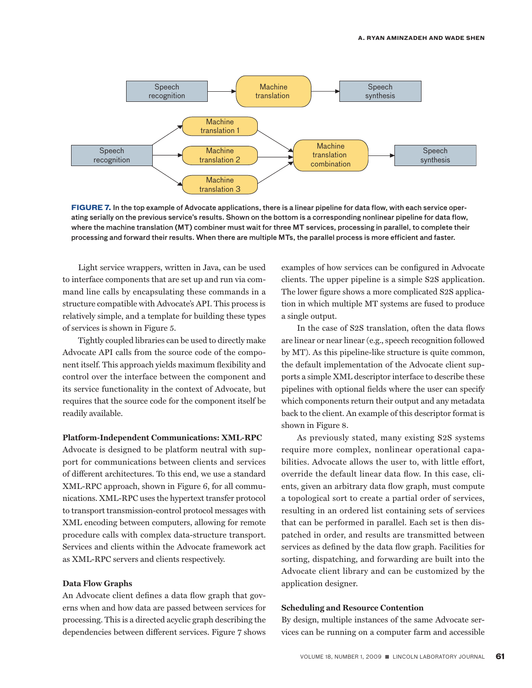

**FIGURE 7.** In the top example of Advocate applications, there is a linear pipeline for data flow, with each service operating serially on the previous service's results. Shown on the bottom is a corresponding nonlinear pipeline for data flow, where the machine translation (MT) combiner must wait for three MT services, processing in parallel, to complete their processing and forward their results. When there are multiple MTs, the parallel process is more efficient and faster.

Light service wrappers, written in Java, can be used to interface components that are set up and run via command line calls by encapsulating these commands in a structure compatible with Advocate's API. This process is relatively simple, and a template for building these types of services is shown in Figure 5.

Tightly coupled libraries can be used to directly make Advocate API calls from the source code of the component itself. This approach yields maximum flexibility and control over the interface between the component and its service functionality in the context of Advocate, but requires that the source code for the component itself be readily available.

#### **Platform-Independent Communications: XML-RPC**

Advocate is designed to be platform neutral with support for communications between clients and services of different architectures. To this end, we use a standard XML-RPC approach, shown in Figure 6, for all communications. XML-RPC uses the hypertext transfer protocol to transport transmission-control protocol messages with XML encoding between computers, allowing for remote procedure calls with complex data-structure transport. Services and clients within the Advocate framework act as XML-RPC servers and clients respectively.

#### **Data Flow Graphs**

An Advocate client defines a data flow graph that governs when and how data are passed between services for processing. This is a directed acyclic graph describing the dependencies between different services. Figure 7 shows examples of how services can be configured in Advocate clients. The upper pipeline is a simple S2S application. The lower figure shows a more complicated S2S application in which multiple MT systems are fused to produce a single output.

In the case of S2S translation, often the data flows are linear or near linear (e.g., speech recognition followed by MT). As this pipeline-like structure is quite common, the default implementation of the Advocate client supports a simple XML descriptor interface to describe these pipelines with optional fields where the user can specify which components return their output and any metadata back to the client. An example of this descriptor format is shown in Figure 8.

As previously stated, many existing S2S systems require more complex, nonlinear operational capabilities. Advocate allows the user to, with little effort, override the default linear data flow. In this case, clients, given an arbitrary data flow graph, must compute a topological sort to create a partial order of services, resulting in an ordered list containing sets of services that can be performed in parallel. Each set is then dispatched in order, and results are transmitted between services as defined by the data flow graph. Facilities for sorting, dispatching, and forwarding are built into the Advocate client library and can be customized by the application designer.

#### **Scheduling and Resource Contention**

By design, multiple instances of the same Advocate services can be running on a computer farm and accessible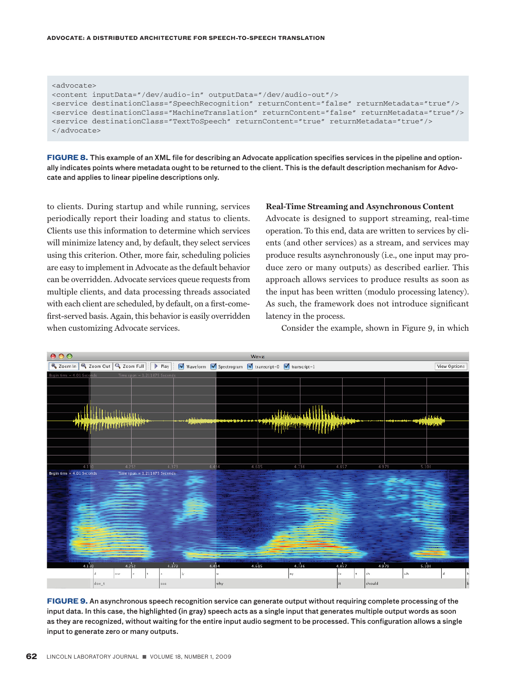#### **advocate: a distributed architecture for speech-to-speech translation**

| <advocate></advocate>                                                                                |
|------------------------------------------------------------------------------------------------------|
| <content_inputdata=" audio-in"_outputdata="/dev/audio-out" dev=""></content_inputdata=">             |
| <service destinationclass="SpeechRecognition" returncontent="false" returnmetadata="true"></service> |
|                                                                                                      |
| <service destinationclass="TextToSpeech" returncontent="true" returnmetadata="true"></service>       |
|                                                                                                      |

**FIGURE 8.** This example of an XML file for describing an Advocate application specifies services in the pipeline and optionally indicates points where metadata ought to be returned to the client. This is the default description mechanism for Advocate and applies to linear pipeline descriptions only.

to clients. During startup and while running, services periodically report their loading and status to clients. Clients use this information to determine which services will minimize latency and, by default, they select services using this criterion. Other, more fair, scheduling policies are easy to implement in Advocate as the default behavior can be overridden. Advocate services queue requests from multiple clients, and data processing threads associated with each client are scheduled, by default, on a first-comefirst-served basis. Again, this behavior is easily overridden when customizing Advocate services.

#### **Real-Time Streaming and Asynchronous Content**

Advocate is designed to support streaming, real-time operation. To this end, data are written to services by clients (and other services) as a stream, and services may produce results asynchronously (i.e., one input may produce zero or many outputs) as described earlier. This approach allows services to produce results as soon as the input has been written (modulo processing latency). As such, the framework does not introduce significant latency in the process.

Consider the example, shown in Figure 9, in which



**FIGURE 9.** An asynchronous speech recognition service can generate output without requiring complete processing of the input data. In this case, the highlighted (in gray) speech acts as a single input that generates multiple output words as soon as they are recognized, without waiting for the entire input audio segment to be processed. This configuration allows a single input to generate zero or many outputs.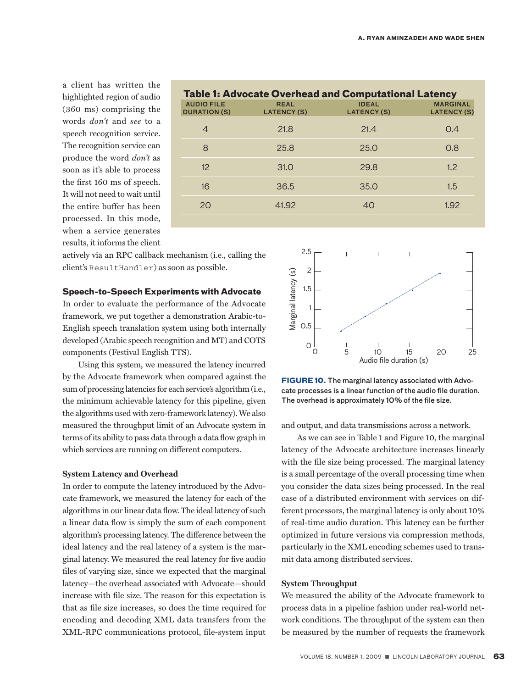a client has written the highlighted region of audio (360 ms) comprising the words *don't* and *see* to a speech recognition service. The recognition service can produce the word *don't* as soon as it's able to process the first 160 ms of speech. It will not need to wait until the entire buffer has been processed. In this mode, when a service generates results, it informs the client

| <b>Table 1: Advocate Overhead and Computational Latency</b> |                                   |                                    |                                       |  |
|-------------------------------------------------------------|-----------------------------------|------------------------------------|---------------------------------------|--|
| <b>AUDIO FILE</b><br><b>DURATION (S)</b>                    | <b>REAL</b><br><b>LATENCY (S)</b> | <b>IDEAL</b><br><b>LATENCY (S)</b> | <b>MARGINAL</b><br><b>LATENCY (S)</b> |  |
| $\overline{4}$                                              | 21.8                              | 21.4                               | 0.4                                   |  |
| 8                                                           | 25.8                              | 25.0                               | 0.8                                   |  |
| 12                                                          | 31.O                              | 29.8                               | 1.2                                   |  |
| 16                                                          | 36.5                              | 35.0                               | 1.5                                   |  |
| 20                                                          | 41.92                             | 40                                 | 1.92                                  |  |
|                                                             |                                   |                                    |                                       |  |

actively via an RPC callback mechanism (i.e., calling the client's ResultHandler) as soon as possible.

# **Speech-to-Speech Experiments with Advocate**

In order to evaluate the performance of the Advocate framework, we put together a demonstration Arabic-to-English speech translation system using both internally developed (Arabic speech recognition and MT) and COTS components (Festival English TTS).

Using this system, we measured the latency incurred by the Advocate framework when compared against the sum of processing latencies for each service's algorithm (i.e., the minimum achievable latency for this pipeline, given the algorithms used with zero-framework latency). We also measured the throughput limit of an Advocate system in terms of its ability to pass data through a data flow graph in which services are running on different computers.

#### **System Latency and Overhead**

In order to compute the latency introduced by the Advocate framework, we measured the latency for each of the algorithms in our linear data flow. The ideal latency of such a linear data flow is simply the sum of each component algorithm's processing latency. The difference between the ideal latency and the real latency of a system is the marginal latency. We measured the real latency for five audio files of varying size, since we expected that the marginal latency—the overhead associated with Advocate—should increase with file size. The reason for this expectation is that as file size increases, so does the time required for encoding and decoding XML data transfers from the XML-RPC communications protocol, file-system input



**FIGURE 10.** The marginal latency associated with Advocate processes is a linear function of the audio file duration. The overhead is approximately 10% of the file size.

and output, and data transmissions across a network.

As we can see in Table 1 and Figure 10, the marginal latency of the Advocate architecture increases linearly with the file size being processed. The marginal latency is a small percentage of the overall processing time when you consider the data sizes being processed. In the real case of a distributed environment with services on different processors, the marginal latency is only about 10% of real-time audio duration. This latency can be further optimized in future versions via compression methods, particularly in the XML encoding schemes used to transmit data among distributed services.

#### **System Throughput**

We measured the ability of the Advocate framework to process data in a pipeline fashion under real-world network conditions. The throughput of the system can then be measured by the number of requests the framework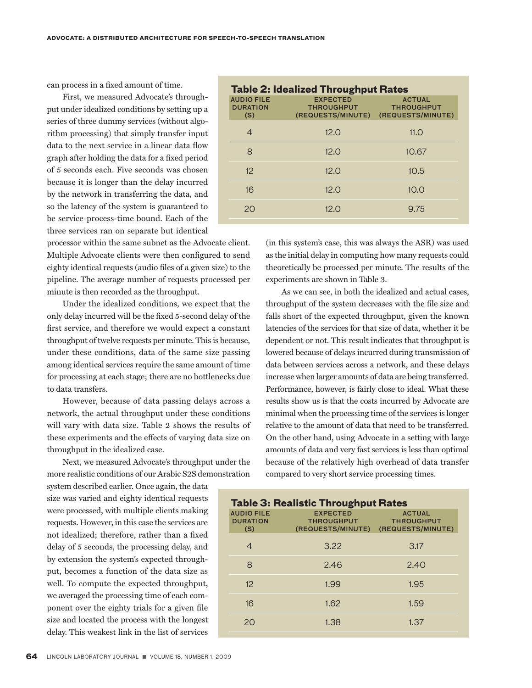can process in a fixed amount of time.

First, we measured Advocate's throughput under idealized conditions by setting up a series of three dummy services (without algorithm processing) that simply transfer input data to the next service in a linear data flow graph after holding the data for a fixed period of 5 seconds each. Five seconds was chosen because it is longer than the delay incurred by the network in transferring the data, and so the latency of the system is guaranteed to be service-process-time bound. Each of the three services ran on separate but identical

processor within the same subnet as the Advocate client. Multiple Advocate clients were then configured to send eighty identical requests (audio files of a given size) to the pipeline. The average number of requests processed per minute is then recorded as the throughput.

Under the idealized conditions, we expect that the only delay incurred will be the fixed 5-second delay of the first service, and therefore we would expect a constant throughput of twelve requests per minute. This is because, under these conditions, data of the same size passing among identical services require the same amount of time for processing at each stage; there are no bottlenecks due to data transfers.

However, because of data passing delays across a network, the actual throughput under these conditions will vary with data size. Table 2 shows the results of these experiments and the effects of varying data size on throughput in the idealized case.

Next, we measured Advocate's throughput under the more realistic conditions of our Arabic S2S demonstration

system described earlier. Once again, the data size was varied and eighty identical requests were processed, with multiple clients making requests. However, in this case the services are not idealized; therefore, rather than a fixed delay of 5 seconds, the processing delay, and by extension the system's expected throughput, becomes a function of the data size as well. To compute the expected throughput, we averaged the processing time of each component over the eighty trials for a given file size and located the process with the longest delay. This weakest link in the list of services

| <b>Table 2: Idealized Throughput Rates</b>  |                                                           |                                                         |  |
|---------------------------------------------|-----------------------------------------------------------|---------------------------------------------------------|--|
| <b>AUDIO FILE</b><br><b>DURATION</b><br>(S) | <b>EXPECTED</b><br><b>THROUGHPUT</b><br>(REQUESTS/MINUTE) | <b>ACTUAL</b><br><b>THROUGHPUT</b><br>(REQUESTS/MINUTE) |  |
| 4                                           | 12.0                                                      | 11.0                                                    |  |
| 8                                           | 12.0                                                      | 10.67                                                   |  |
| 12                                          | 12.0                                                      | 10.5                                                    |  |
| 16                                          | 12.0                                                      | 10.0                                                    |  |
| 20                                          | 12.0                                                      | 9.75                                                    |  |
|                                             |                                                           |                                                         |  |

(in this system's case, this was always the ASR) was used as the initial delay in computing how many requests could theoretically be processed per minute. The results of the experiments are shown in Table 3.

As we can see, in both the idealized and actual cases, throughput of the system decreases with the file size and falls short of the expected throughput, given the known latencies of the services for that size of data, whether it be dependent or not. This result indicates that throughput is lowered because of delays incurred during transmission of data between services across a network, and these delays increase when larger amounts of data are being transferred. Performance, however, is fairly close to ideal. What these results show us is that the costs incurred by Advocate are minimal when the processing time of the services is longer relative to the amount of data that need to be transferred. On the other hand, using Advocate in a setting with large amounts of data and very fast services is less than optimal because of the relatively high overhead of data transfer compared to very short service processing times.

# **Table 3: Realistic Throughput Rates** audio file expected Actual **THROUGHPUT** (s) (requests/minute) (requests/minute) 4 3.22 3.17 8 2.46 2.40 12 1.99 1.95 16 1.62 1.59

20 1.38 1.37